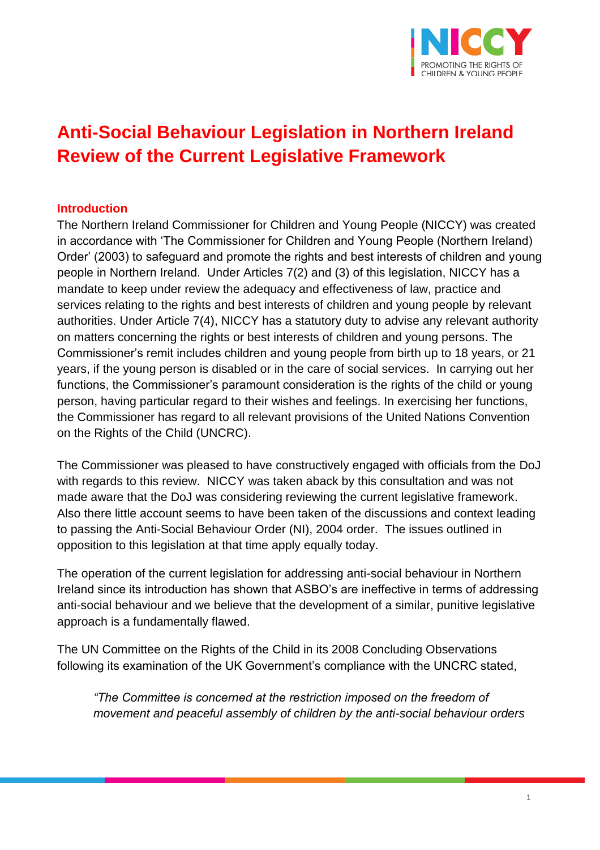

# **Anti-Social Behaviour Legislation in Northern Ireland Review of the Current Legislative Framework**

### **Introduction**

The Northern Ireland Commissioner for Children and Young People (NICCY) was created in accordance with 'The Commissioner for Children and Young People (Northern Ireland) Order' (2003) to safeguard and promote the rights and best interests of children and young people in Northern Ireland. Under Articles 7(2) and (3) of this legislation, NICCY has a mandate to keep under review the adequacy and effectiveness of law, practice and services relating to the rights and best interests of children and young people by relevant authorities. Under Article 7(4), NICCY has a statutory duty to advise any relevant authority on matters concerning the rights or best interests of children and young persons. The Commissioner's remit includes children and young people from birth up to 18 years, or 21 years, if the young person is disabled or in the care of social services. In carrying out her functions, the Commissioner's paramount consideration is the rights of the child or young person, having particular regard to their wishes and feelings. In exercising her functions, the Commissioner has regard to all relevant provisions of the United Nations Convention on the Rights of the Child (UNCRC).

The Commissioner was pleased to have constructively engaged with officials from the DoJ with regards to this review. NICCY was taken aback by this consultation and was not made aware that the DoJ was considering reviewing the current legislative framework. Also there little account seems to have been taken of the discussions and context leading to passing the Anti-Social Behaviour Order (NI), 2004 order. The issues outlined in opposition to this legislation at that time apply equally today.

The operation of the current legislation for addressing anti-social behaviour in Northern Ireland since its introduction has shown that ASBO's are ineffective in terms of addressing anti-social behaviour and we believe that the development of a similar, punitive legislative approach is a fundamentally flawed.

The UN Committee on the Rights of the Child in its 2008 Concluding Observations following its examination of the UK Government's compliance with the UNCRC stated,

*"The Committee is concerned at the restriction imposed on the freedom of movement and peaceful assembly of children by the anti-social behaviour orders*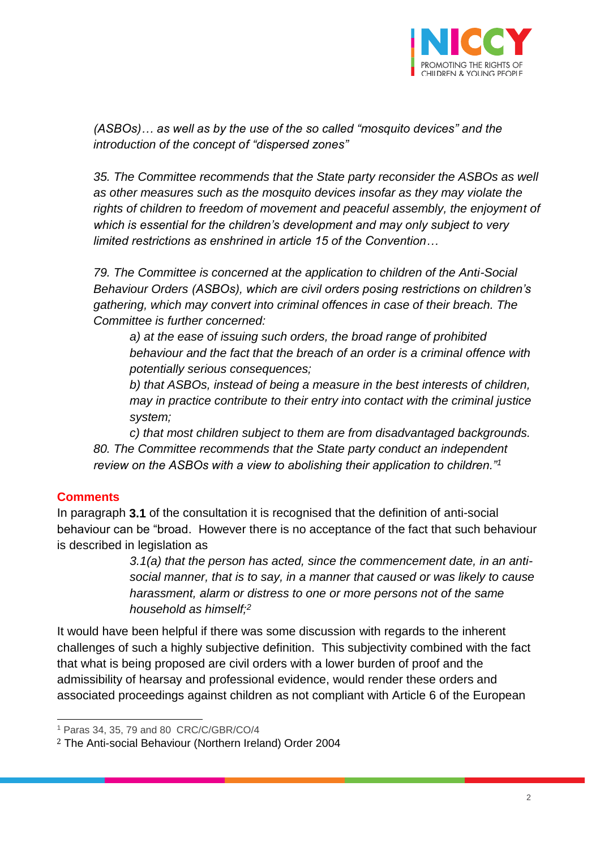

*(ASBOs)… as well as by the use of the so called "mosquito devices" and the introduction of the concept of "dispersed zones"*

35. The Committee recommends that the State party reconsider the ASBOs as well *as other measures such as the mosquito devices insofar as they may violate the*  rights of children to freedom of movement and peaceful assembly, the enjoyment of *which is essential for the children's development and may only subject to very limited restrictions as enshrined in article 15 of the Convention…*

*79. The Committee is concerned at the application to children of the Anti-Social Behaviour Orders (ASBOs), which are civil orders posing restrictions on children's gathering, which may convert into criminal offences in case of their breach. The Committee is further concerned:*

*a) at the ease of issuing such orders, the broad range of prohibited behaviour and the fact that the breach of an order is a criminal offence with potentially serious consequences;*

*b) that ASBOs, instead of being a measure in the best interests of children, may in practice contribute to their entry into contact with the criminal justice system;*

*c) that most children subject to them are from disadvantaged backgrounds. 80. The Committee recommends that the State party conduct an independent review on the ASBOs with a view to abolishing their application to children."<sup>1</sup>*

## **Comments**

In paragraph **3.1** of the consultation it is recognised that the definition of anti-social behaviour can be "broad. However there is no acceptance of the fact that such behaviour is described in legislation as

> *3.1(a) that the person has acted, since the commencement date, in an antisocial manner, that is to say, in a manner that caused or was likely to cause harassment, alarm or distress to one or more persons not of the same household as himself;<sup>2</sup>*

It would have been helpful if there was some discussion with regards to the inherent challenges of such a highly subjective definition. This subjectivity combined with the fact that what is being proposed are civil orders with a lower burden of proof and the admissibility of hearsay and professional evidence, would render these orders and associated proceedings against children as not compliant with Article 6 of the European

 $\overline{a}$ <sup>1</sup> Paras 34, 35, 79 and 80 CRC/C/GBR/CO/4

<sup>2</sup> The Anti-social Behaviour (Northern Ireland) Order 2004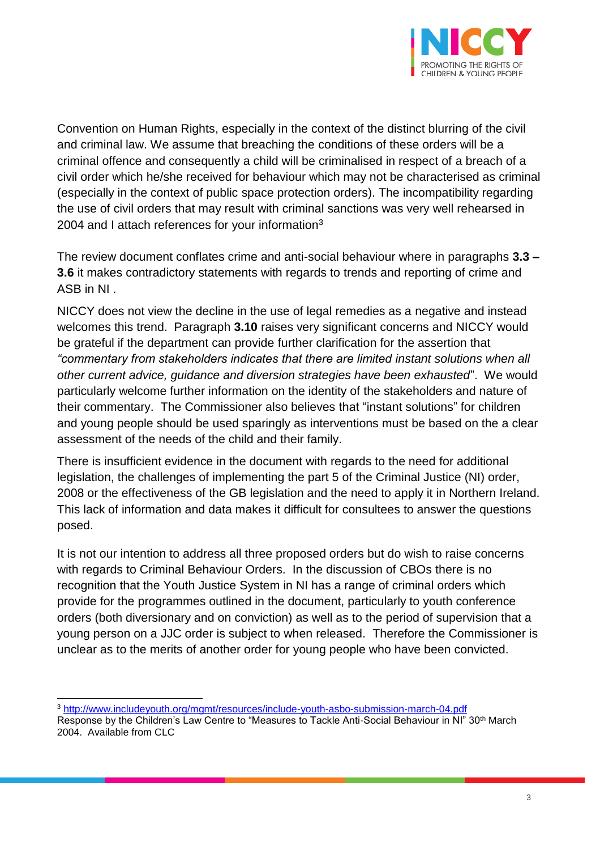

Convention on Human Rights, especially in the context of the distinct blurring of the civil and criminal law. We assume that breaching the conditions of these orders will be a criminal offence and consequently a child will be criminalised in respect of a breach of a civil order which he/she received for behaviour which may not be characterised as criminal (especially in the context of public space protection orders). The incompatibility regarding the use of civil orders that may result with criminal sanctions was very well rehearsed in 2004 and I attach references for your information $3$ 

The review document conflates crime and anti-social behaviour where in paragraphs **3.3 – 3.6** it makes contradictory statements with regards to trends and reporting of crime and ASB in NI .

NICCY does not view the decline in the use of legal remedies as a negative and instead welcomes this trend. Paragraph **3.10** raises very significant concerns and NICCY would be grateful if the department can provide further clarification for the assertion that *"commentary from stakeholders indicates that there are limited instant solutions when all other current advice, guidance and diversion strategies have been exhausted*". We would particularly welcome further information on the identity of the stakeholders and nature of their commentary. The Commissioner also believes that "instant solutions" for children and young people should be used sparingly as interventions must be based on the a clear assessment of the needs of the child and their family.

There is insufficient evidence in the document with regards to the need for additional legislation, the challenges of implementing the part 5 of the Criminal Justice (NI) order, 2008 or the effectiveness of the GB legislation and the need to apply it in Northern Ireland. This lack of information and data makes it difficult for consultees to answer the questions posed.

It is not our intention to address all three proposed orders but do wish to raise concerns with regards to Criminal Behaviour Orders. In the discussion of CBOs there is no recognition that the Youth Justice System in NI has a range of criminal orders which provide for the programmes outlined in the document, particularly to youth conference orders (both diversionary and on conviction) as well as to the period of supervision that a young person on a JJC order is subject to when released. Therefore the Commissioner is unclear as to the merits of another order for young people who have been convicted.

 $\overline{a}$ <sup>3</sup> <http://www.includeyouth.org/mgmt/resources/include-youth-asbo-submission-march-04.pdf>

Response by the Children's Law Centre to "Measures to Tackle Anti-Social Behaviour in NI" 30<sup>th</sup> March 2004. Available from CLC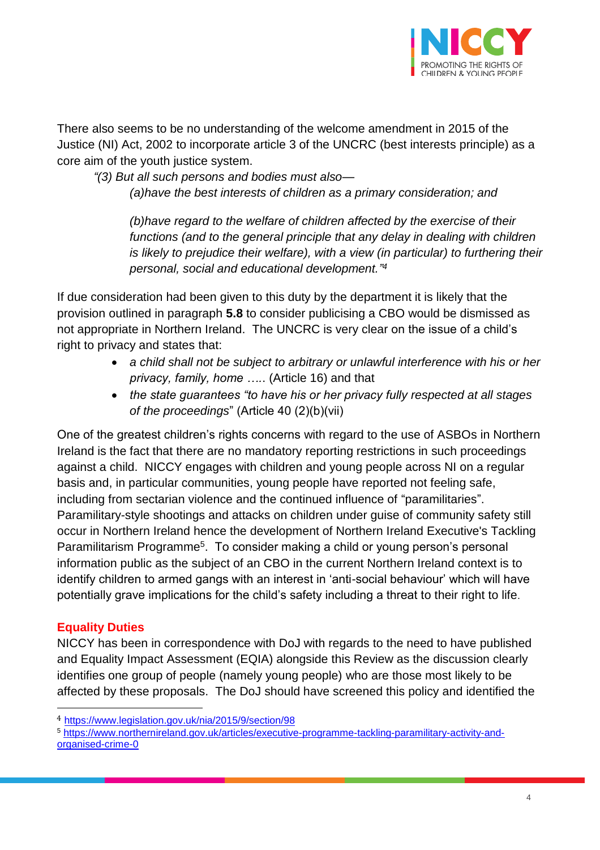

There also seems to be no understanding of the welcome amendment in 2015 of the Justice (NI) Act, 2002 to incorporate article 3 of the UNCRC (best interests principle) as a core aim of the youth justice system.

*"(3) But all such persons and bodies must also—*

*(a)have the best interests of children as a primary consideration; and*

*(b)have regard to the welfare of children affected by the exercise of their*  functions (and to the general principle that any delay in dealing with children *is likely to prejudice their welfare), with a view (in particular) to furthering their personal, social and educational development." 4*

If due consideration had been given to this duty by the department it is likely that the provision outlined in paragraph **5.8** to consider publicising a CBO would be dismissed as not appropriate in Northern Ireland. The UNCRC is very clear on the issue of a child's right to privacy and states that:

- *a child shall not be subject to arbitrary or unlawful interference with his or her privacy, family, home ….*. (Article 16) and that
- *the state guarantees "to have his or her privacy fully respected at all stages of the proceedings*" (Article 40 (2)(b)(vii)

One of the greatest children's rights concerns with regard to the use of ASBOs in Northern Ireland is the fact that there are no mandatory reporting restrictions in such proceedings against a child. NICCY engages with children and young people across NI on a regular basis and, in particular communities, young people have reported not feeling safe, including from sectarian violence and the continued influence of "paramilitaries". Paramilitary-style shootings and attacks on children under guise of community safety still occur in Northern Ireland hence the development of Northern Ireland Executive's Tackling Paramilitarism Programme<sup>5</sup>. To consider making a child or young person's personal information public as the subject of an CBO in the current Northern Ireland context is to identify children to armed gangs with an interest in 'anti-social behaviour' which will have potentially grave implications for the child's safety including a threat to their right to life.

# **Equality Duties**

 $\overline{a}$ 

NICCY has been in correspondence with DoJ with regards to the need to have published and Equality Impact Assessment (EQIA) alongside this Review as the discussion clearly identifies one group of people (namely young people) who are those most likely to be affected by these proposals. The DoJ should have screened this policy and identified the

<sup>4</sup> <https://www.legislation.gov.uk/nia/2015/9/section/98>

<sup>5</sup> [https://www.northernireland.gov.uk/articles/executive-programme-tackling-paramilitary-activity-and](https://www.northernireland.gov.uk/articles/executive-programme-tackling-paramilitary-activity-and-organised-crime-0)[organised-crime-0](https://www.northernireland.gov.uk/articles/executive-programme-tackling-paramilitary-activity-and-organised-crime-0)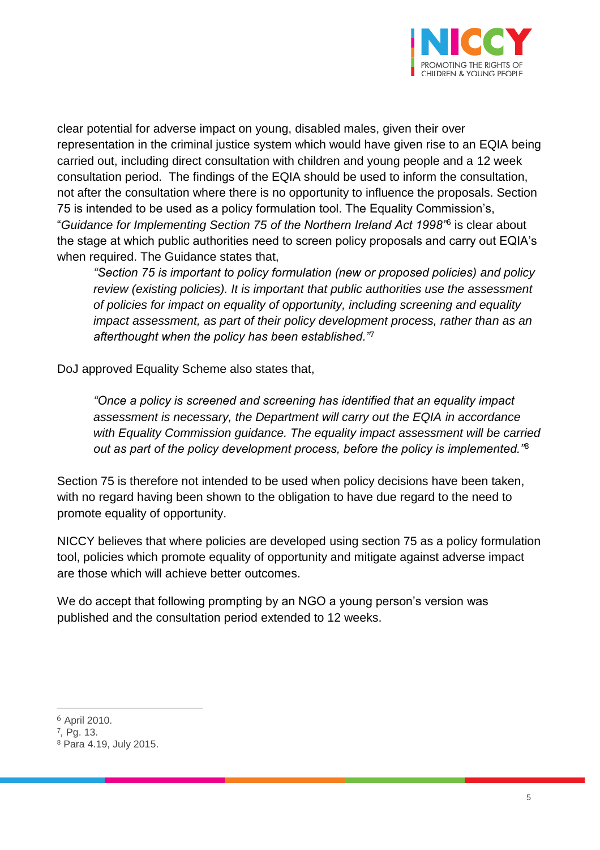

clear potential for adverse impact on young, disabled males, given their over representation in the criminal justice system which would have given rise to an EQIA being carried out, including direct consultation with children and young people and a 12 week consultation period. The findings of the EQIA should be used to inform the consultation, not after the consultation where there is no opportunity to influence the proposals. Section 75 is intended to be used as a policy formulation tool. The Equality Commission's, "*Guidance for Implementing Section 75 of the Northern Ireland Act 1998"*<sup>6</sup> is clear about the stage at which public authorities need to screen policy proposals and carry out EQIA's when required. The Guidance states that,

*"Section 75 is important to policy formulation (new or proposed policies) and policy review (existing policies). It is important that public authorities use the assessment of policies for impact on equality of opportunity, including screening and equality impact assessment, as part of their policy development process, rather than as an afterthought when the policy has been established."*<sup>7</sup>

DoJ approved Equality Scheme also states that,

*"Once a policy is screened and screening has identified that an equality impact assessment is necessary, the Department will carry out the EQIA in accordance with Equality Commission guidance. The equality impact assessment will be carried out as part of the policy development process, before the policy is implemented."*<sup>8</sup>

Section 75 is therefore not intended to be used when policy decisions have been taken, with no regard having been shown to the obligation to have due regard to the need to promote equality of opportunity.

NICCY believes that where policies are developed using section 75 as a policy formulation tool, policies which promote equality of opportunity and mitigate against adverse impact are those which will achieve better outcomes.

We do accept that following prompting by an NGO a young person's version was published and the consultation period extended to 12 weeks.

 $\overline{a}$ 

<sup>6</sup> April 2010.

<sup>7</sup> *,* Pg. 13.

<sup>8</sup> Para 4.19, July 2015.